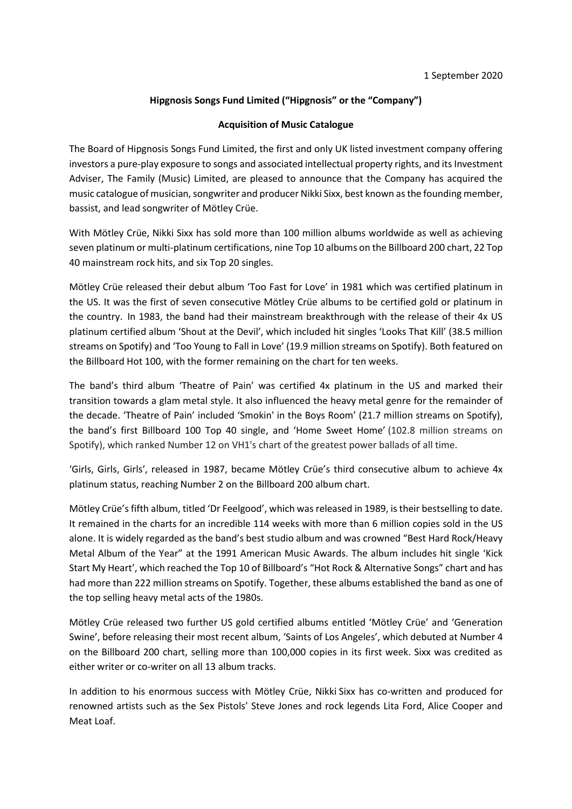# **Hipgnosis Songs Fund Limited ("Hipgnosis" or the "Company")**

## **Acquisition of Music Catalogue**

The Board of Hipgnosis Songs Fund Limited, the first and only UK listed investment company offering investors a pure-play exposure to songs and associated intellectual property rights, and its Investment Adviser, The Family (Music) Limited, are pleased to announce that the Company has acquired the music catalogue of musician, songwriter and producer Nikki Sixx, best known as the founding member, bassist, and lead songwriter of Mötley Crüe.

With Mötley Crüe, Nikki Sixx has sold more than 100 million albums worldwide as well as achieving seven platinum or multi-platinum certifications, nine Top 10 albums on the Billboard 200 chart, 22 Top 40 mainstream rock hits, and six Top 20 singles.

Mötley Crüe released their debut album 'Too Fast for Love' in 1981 which was certified platinum in the US. It was the first of seven consecutive Mötley Crüe albums to be certified gold or platinum in the country. In 1983, the band had their mainstream breakthrough with the release of their 4x US platinum certified album 'Shout at the Devil', which included hit singles 'Looks That Kill' (38.5 million streams on Spotify) and 'Too Young to Fall in Love' (19.9 million streams on Spotify). Both featured on the Billboard Hot 100, with the former remaining on the chart for ten weeks.

The band's third album 'Theatre of Pain' was certified 4x platinum in the US and marked their transition towards a glam metal style. It also influenced the heavy metal genre for the remainder of the decade. 'Theatre of Pain' included 'Smokin' in the Boys Room' (21.7 million streams on Spotify), the band's first Billboard 100 Top 40 single, and 'Home Sweet Home' (102.8 million streams on Spotify), which ranked Number 12 on VH1's chart of the greatest power ballads of all time.

'Girls, Girls, Girls', released in 1987, became Mötley Crüe's third consecutive album to achieve 4x platinum status, reaching Number 2 on the Billboard 200 album chart.

Mötley Crüe's fifth album, titled 'Dr Feelgood', which was released in 1989, is their bestselling to date. It remained in the charts for an incredible 114 weeks with more than 6 million copies sold in the US alone. It is widely regarded as the band's best studio album and was crowned "Best Hard Rock/Heavy Metal Album of the Year" at the 1991 American Music Awards. The album includes hit single 'Kick Start My Heart', which reached the Top 10 of Billboard's "Hot Rock & Alternative Songs" chart and has had more than 222 million streams on Spotify. Together, these albums established the band as one of the top selling heavy metal acts of the 1980s.

Mötley Crüe released two further US gold certified albums entitled 'Mötley Crüe' and 'Generation Swine', before releasing their most recent album, 'Saints of Los Angeles', which debuted at Number 4 on the Billboard 200 chart, selling more than 100,000 copies in its first week. Sixx was credited as either writer or co-writer on all 13 album tracks.

In addition to his enormous success with Mötley Crüe, Nikki Sixx has co-written and produced for renowned artists such as the Sex Pistols' Steve Jones and rock legends Lita Ford, Alice Cooper and Meat Loaf.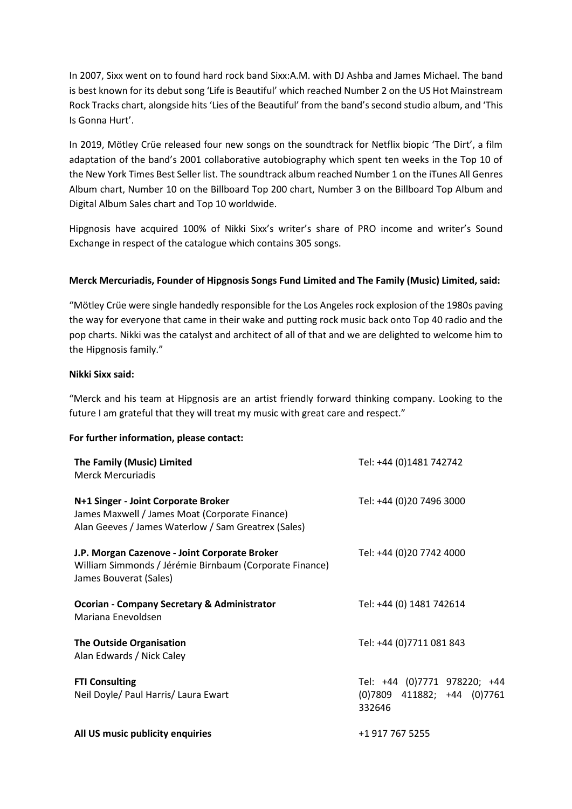In 2007, Sixx went on to found hard rock band Sixx:A.M. with DJ Ashba and James Michael. The band is best known for its debut song 'Life is Beautiful' which reached Number 2 on the US Hot Mainstream Rock Tracks chart, alongside hits 'Lies of the Beautiful' from the band's second studio album, and 'This Is Gonna Hurt'.

In 2019, Mötley Crüe released four new songs on the soundtrack for Netflix biopic 'The Dirt', a film adaptation of the band's 2001 collaborative autobiography which spent ten weeks in the Top 10 of the New York Times Best Seller list. The soundtrack album reached Number 1 on the iTunes All Genres Album chart, Number 10 on the Billboard Top 200 chart, Number 3 on the Billboard Top Album and Digital Album Sales chart and Top 10 worldwide.

Hipgnosis have acquired 100% of Nikki Sixx's writer's share of PRO income and writer's Sound Exchange in respect of the catalogue which contains 305 songs.

## **Merck Mercuriadis, Founder of Hipgnosis Songs Fund Limited and The Family (Music) Limited, said:**

"Mötley Crüe were single handedly responsible for the Los Angeles rock explosion of the 1980s paving the way for everyone that came in their wake and putting rock music back onto Top 40 radio and the pop charts. Nikki was the catalyst and architect of all of that and we are delighted to welcome him to the Hipgnosis family."

## **Nikki Sixx said:**

"Merck and his team at Hipgnosis are an artist friendly forward thinking company. Looking to the future I am grateful that they will treat my music with great care and respect."

## **For further information, please contact:**

| The Family (Music) Limited<br><b>Merck Mercuriadis</b>                                                                                       | Tel: +44 (0)1481 742742                                               |
|----------------------------------------------------------------------------------------------------------------------------------------------|-----------------------------------------------------------------------|
| N+1 Singer - Joint Corporate Broker<br>James Maxwell / James Moat (Corporate Finance)<br>Alan Geeves / James Waterlow / Sam Greatrex (Sales) | Tel: +44 (0)20 7496 3000                                              |
| J.P. Morgan Cazenove - Joint Corporate Broker<br>William Simmonds / Jérémie Birnbaum (Corporate Finance)<br>James Bouverat (Sales)           | Tel: +44 (0)20 7742 4000                                              |
| <b>Ocorian - Company Secretary &amp; Administrator</b><br>Mariana Enevoldsen                                                                 | Tel: +44 (0) 1481 742614                                              |
| <b>The Outside Organisation</b><br>Alan Edwards / Nick Caley                                                                                 | Tel: +44 (0)7711 081 843                                              |
| <b>FTI Consulting</b><br>Neil Doyle/ Paul Harris/ Laura Ewart                                                                                | Tel: +44 (0)7771 978220; +44<br>(0)7809 411882; +44 (0)7761<br>332646 |
| All US music publicity enquiries                                                                                                             | +1 917 767 5255                                                       |